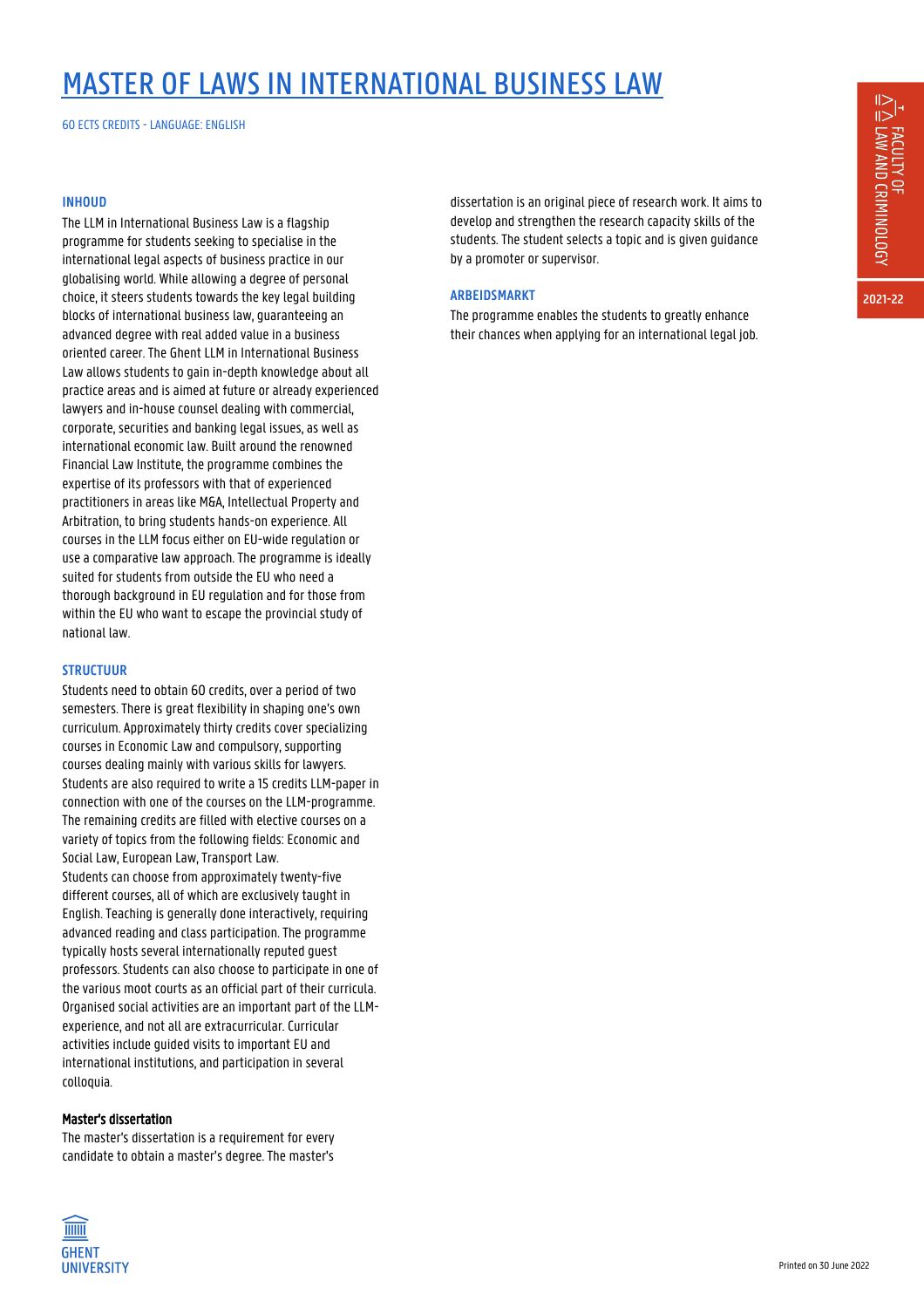## MASTER OF LAWS IN INTERNATIONAL BUSINESS LAW

60 ECTS CREDITS - LANGUAGE: ENGLISH

#### **INHOUD**

The LLM in International Business Law is a flagship programme for students seeking to specialise in the international legal aspects of business practice in our globalising world. While allowing a degree of personal choice, it steers students towards the key legal building blocks of international business law, guaranteeing an advanced degree with real added value in a business oriented career. The Ghent LLM in International Business Law allows students to gain in-depth knowledge about all practice areas and is aimed at future or already experienced lawyers and in-house counsel dealing with commercial, corporate, securities and banking legal issues, as well as international economic law. Built around the renowned Financial Law Institute, the programme combines the expertise of its professors with that of experienced practitioners in areas like M&A, Intellectual Property and Arbitration, to bring students hands-on experience. All courses in the LLM focus either on EU-wide regulation or use a comparative law approach. The programme is ideally suited for students from outside the EU who need a thorough background in EU regulation and for those from within the EU who want to escape the provincial study of national law.

### **STRUCTUUR**

Students need to obtain 60 credits, over a period of two semesters. There is great flexibility in shaping one's own curriculum. Approximately thirty credits cover specializing courses in Economic Law and compulsory, supporting courses dealing mainly with various skills for lawyers. Students are also required to write a 15 credits LLM-paper in connection with one of the courses on the LLM-programme. The remaining credits are filled with elective courses on a variety of topics from the following fields: Economic and Social Law, European Law, Transport Law. Students can choose from approximately twenty-five different courses, all of which are exclusively taught in English. Teaching is generally done interactively, requiring advanced reading and class participation. The programme typically hosts several internationally reputed guest professors. Students can also choose to participate in one of the various moot courts as an official part of their curricula. Organised social activities are an important part of the LLMexperience, and not all are extracurricular. Curricular activities include guided visits to important EU and international institutions, and participation in several colloquia.

#### Master's dissertation

**TITTITI GHENT UNIVERSITY** 

The master's dissertation is a requirement for every candidate to obtain a master's degree. The master's



#### **ARBEIDSMARKT**

The programme enables the students to greatly enhance their chances when applying for an international legal job.